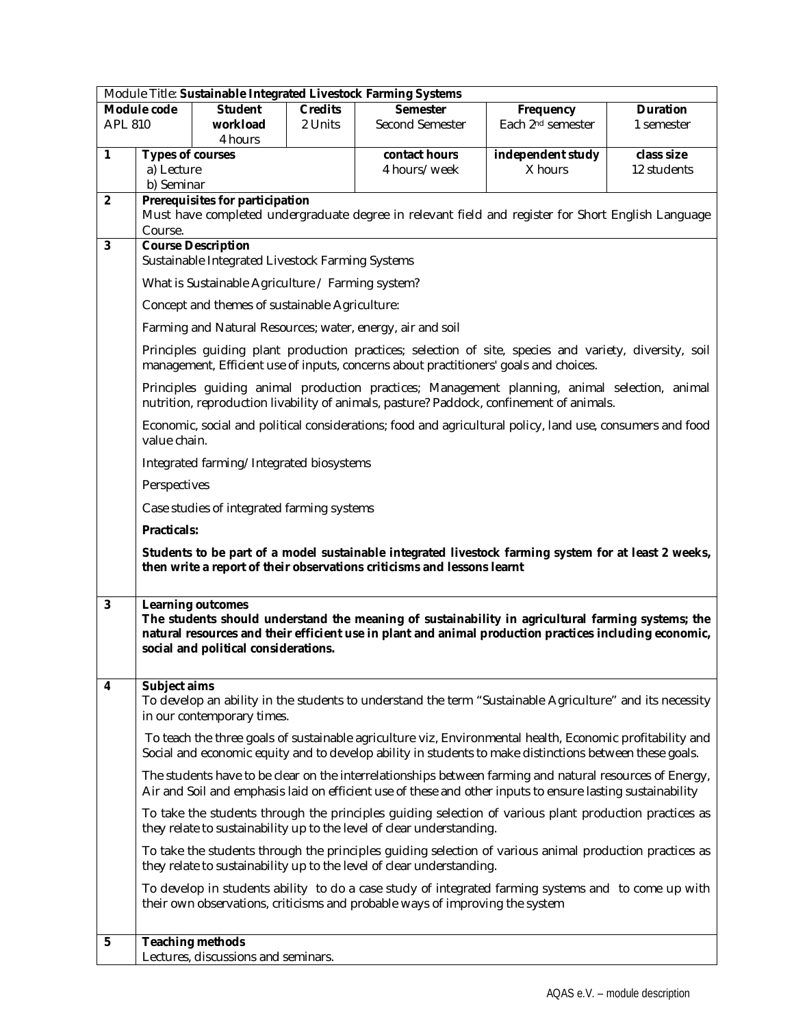| Module Title: Sustainable Integrated Livestock Farming Systems |                                                                                                                                                                                                                                                                                 |                                                                |                |                                                                                                                                                                                                                        |                               |                 |  |  |
|----------------------------------------------------------------|---------------------------------------------------------------------------------------------------------------------------------------------------------------------------------------------------------------------------------------------------------------------------------|----------------------------------------------------------------|----------------|------------------------------------------------------------------------------------------------------------------------------------------------------------------------------------------------------------------------|-------------------------------|-----------------|--|--|
|                                                                | Module code                                                                                                                                                                                                                                                                     | <b>Student</b>                                                 | <b>Credits</b> | <b>Semester</b>                                                                                                                                                                                                        | Frequency                     | <b>Duration</b> |  |  |
| <b>APL 810</b>                                                 |                                                                                                                                                                                                                                                                                 | workload                                                       | 2 Units        | Second Semester                                                                                                                                                                                                        | Each 2 <sup>nd</sup> semester | 1 semester      |  |  |
|                                                                |                                                                                                                                                                                                                                                                                 | 4 hours                                                        |                |                                                                                                                                                                                                                        |                               |                 |  |  |
| 1                                                              | <b>Types of courses</b>                                                                                                                                                                                                                                                         |                                                                |                | contact hours                                                                                                                                                                                                          | independent study             | class size      |  |  |
|                                                                | a) Lecture                                                                                                                                                                                                                                                                      |                                                                |                | 4 hours/week                                                                                                                                                                                                           | X hours                       | 12 students     |  |  |
| $\mathbf{2}$                                                   | b) Seminar<br>Prerequisites for participation                                                                                                                                                                                                                                   |                                                                |                |                                                                                                                                                                                                                        |                               |                 |  |  |
|                                                                | Must have completed undergraduate degree in relevant field and register for Short English Language                                                                                                                                                                              |                                                                |                |                                                                                                                                                                                                                        |                               |                 |  |  |
|                                                                | Course.                                                                                                                                                                                                                                                                         |                                                                |                |                                                                                                                                                                                                                        |                               |                 |  |  |
| $\overline{\mathbf{3}}$                                        | <b>Course Description</b>                                                                                                                                                                                                                                                       |                                                                |                |                                                                                                                                                                                                                        |                               |                 |  |  |
|                                                                | Sustainable Integrated Livestock Farming Systems                                                                                                                                                                                                                                |                                                                |                |                                                                                                                                                                                                                        |                               |                 |  |  |
|                                                                | What is Sustainable Agriculture / Farming system?                                                                                                                                                                                                                               |                                                                |                |                                                                                                                                                                                                                        |                               |                 |  |  |
|                                                                | Concept and themes of sustainable Agriculture:                                                                                                                                                                                                                                  |                                                                |                |                                                                                                                                                                                                                        |                               |                 |  |  |
|                                                                | Farming and Natural Resources; water, energy, air and soil                                                                                                                                                                                                                      |                                                                |                |                                                                                                                                                                                                                        |                               |                 |  |  |
|                                                                | Principles guiding plant production practices; selection of site, species and variety, diversity, soil<br>management, Efficient use of inputs, concerns about practitioners' goals and choices.                                                                                 |                                                                |                |                                                                                                                                                                                                                        |                               |                 |  |  |
|                                                                | Principles guiding animal production practices; Management planning, animal selection, animal<br>nutrition, reproduction livability of animals, pasture? Paddock, confinement of animals.                                                                                       |                                                                |                |                                                                                                                                                                                                                        |                               |                 |  |  |
|                                                                | Economic, social and political considerations; food and agricultural policy, land use, consumers and food<br>value chain.                                                                                                                                                       |                                                                |                |                                                                                                                                                                                                                        |                               |                 |  |  |
|                                                                | Integrated farming/Integrated biosystems                                                                                                                                                                                                                                        |                                                                |                |                                                                                                                                                                                                                        |                               |                 |  |  |
|                                                                | Perspectives                                                                                                                                                                                                                                                                    |                                                                |                |                                                                                                                                                                                                                        |                               |                 |  |  |
|                                                                | Case studies of integrated farming systems                                                                                                                                                                                                                                      |                                                                |                |                                                                                                                                                                                                                        |                               |                 |  |  |
|                                                                | <b>Practicals:</b>                                                                                                                                                                                                                                                              |                                                                |                |                                                                                                                                                                                                                        |                               |                 |  |  |
|                                                                | Students to be part of a model sustainable integrated livestock farming system for at least 2 weeks,<br>then write a report of their observations criticisms and lessons learnt                                                                                                 |                                                                |                |                                                                                                                                                                                                                        |                               |                 |  |  |
| $\overline{\mathbf{3}}$                                        | <b>Learning outcomes</b><br>The students should understand the meaning of sustainability in agricultural farming systems; the<br>natural resources and their efficient use in plant and animal production practices including economic,<br>social and political considerations. |                                                                |                |                                                                                                                                                                                                                        |                               |                 |  |  |
| $\overline{\mathbf{4}}$                                        | Subject aims                                                                                                                                                                                                                                                                    | in our contemporary times.                                     |                | To develop an ability in the students to understand the term "Sustainable Agriculture" and its necessity                                                                                                               |                               |                 |  |  |
|                                                                | To teach the three goals of sustainable agriculture viz, Environmental health, Economic profitability and<br>Social and economic equity and to develop ability in students to make distinctions between these goals.                                                            |                                                                |                |                                                                                                                                                                                                                        |                               |                 |  |  |
|                                                                |                                                                                                                                                                                                                                                                                 |                                                                |                | The students have to be clear on the interrelationships between farming and natural resources of Energy,<br>Air and Soil and emphasis laid on efficient use of these and other inputs to ensure lasting sustainability |                               |                 |  |  |
|                                                                | To take the students through the principles guiding selection of various plant production practices as<br>they relate to sustainability up to the level of clear understanding.                                                                                                 |                                                                |                |                                                                                                                                                                                                                        |                               |                 |  |  |
|                                                                | To take the students through the principles guiding selection of various animal production practices as<br>they relate to sustainability up to the level of clear understanding.                                                                                                |                                                                |                |                                                                                                                                                                                                                        |                               |                 |  |  |
|                                                                | To develop in students ability to do a case study of integrated farming systems and to come up with<br>their own observations, criticisms and probable ways of improving the system                                                                                             |                                                                |                |                                                                                                                                                                                                                        |                               |                 |  |  |
| 5                                                              |                                                                                                                                                                                                                                                                                 | <b>Teaching methods</b><br>Lectures, discussions and seminars. |                |                                                                                                                                                                                                                        |                               |                 |  |  |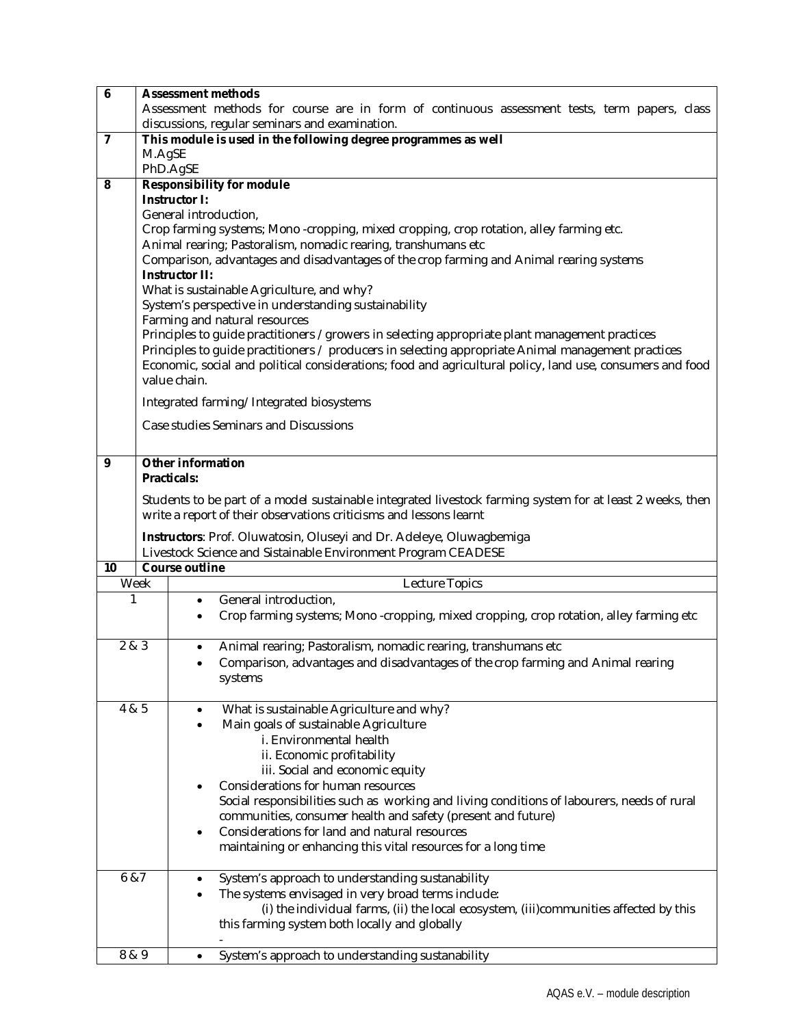| 6                                                                    | <b>Assessment methods</b>                                                                                 |                                                                                                           |  |  |  |  |  |
|----------------------------------------------------------------------|-----------------------------------------------------------------------------------------------------------|-----------------------------------------------------------------------------------------------------------|--|--|--|--|--|
|                                                                      | Assessment methods for course are in form of continuous assessment tests, term papers, class              |                                                                                                           |  |  |  |  |  |
|                                                                      | discussions, regular seminars and examination.                                                            |                                                                                                           |  |  |  |  |  |
| $\overline{\mathbf{z}}$                                              | This module is used in the following degree programmes as well                                            |                                                                                                           |  |  |  |  |  |
|                                                                      | M.AgSE                                                                                                    |                                                                                                           |  |  |  |  |  |
|                                                                      |                                                                                                           | PhD.AgSE                                                                                                  |  |  |  |  |  |
| 8                                                                    | <b>Responsibility for module</b>                                                                          |                                                                                                           |  |  |  |  |  |
|                                                                      |                                                                                                           | <b>Instructor I:</b>                                                                                      |  |  |  |  |  |
|                                                                      |                                                                                                           | General introduction,                                                                                     |  |  |  |  |  |
|                                                                      |                                                                                                           | Crop farming systems; Mono -cropping, mixed cropping, crop rotation, alley farming etc.                   |  |  |  |  |  |
|                                                                      |                                                                                                           | Animal rearing; Pastoralism, nomadic rearing, transhumans etc                                             |  |  |  |  |  |
|                                                                      |                                                                                                           | Comparison, advantages and disadvantages of the crop farming and Animal rearing systems                   |  |  |  |  |  |
|                                                                      |                                                                                                           | <b>Instructor II:</b>                                                                                     |  |  |  |  |  |
|                                                                      |                                                                                                           | What is sustainable Agriculture, and why?                                                                 |  |  |  |  |  |
|                                                                      |                                                                                                           |                                                                                                           |  |  |  |  |  |
|                                                                      |                                                                                                           | System's perspective in understanding sustainability                                                      |  |  |  |  |  |
|                                                                      | Farming and natural resources                                                                             |                                                                                                           |  |  |  |  |  |
|                                                                      |                                                                                                           | Principles to guide practitioners / growers in selecting appropriate plant management practices           |  |  |  |  |  |
|                                                                      |                                                                                                           | Principles to guide practitioners / producers in selecting appropriate Animal management practices        |  |  |  |  |  |
|                                                                      |                                                                                                           | Economic, social and political considerations; food and agricultural policy, land use, consumers and food |  |  |  |  |  |
|                                                                      |                                                                                                           | value chain.                                                                                              |  |  |  |  |  |
|                                                                      |                                                                                                           | Integrated farming/Integrated biosystems                                                                  |  |  |  |  |  |
|                                                                      |                                                                                                           |                                                                                                           |  |  |  |  |  |
|                                                                      | Case studies Seminars and Discussions                                                                     |                                                                                                           |  |  |  |  |  |
|                                                                      |                                                                                                           |                                                                                                           |  |  |  |  |  |
| 9                                                                    |                                                                                                           | Other information                                                                                         |  |  |  |  |  |
|                                                                      | <b>Practicals:</b>                                                                                        |                                                                                                           |  |  |  |  |  |
|                                                                      |                                                                                                           |                                                                                                           |  |  |  |  |  |
|                                                                      | Students to be part of a model sustainable integrated livestock farming system for at least 2 weeks, then |                                                                                                           |  |  |  |  |  |
|                                                                      | write a report of their observations criticisms and lessons learnt                                        |                                                                                                           |  |  |  |  |  |
| Instructors: Prof. Oluwatosin, Oluseyi and Dr. Adeleye, Oluwagbemiga |                                                                                                           |                                                                                                           |  |  |  |  |  |
|                                                                      |                                                                                                           | Livestock Science and Sistainable Environment Program CEADESE                                             |  |  |  |  |  |
| 10                                                                   |                                                                                                           | <b>Course outline</b>                                                                                     |  |  |  |  |  |
|                                                                      | Week                                                                                                      | Lecture Topics                                                                                            |  |  |  |  |  |
| 1                                                                    |                                                                                                           | General introduction,<br>$\bullet$                                                                        |  |  |  |  |  |
|                                                                      |                                                                                                           | Crop farming systems; Mono -cropping, mixed cropping, crop rotation, alley farming etc<br>$\bullet$       |  |  |  |  |  |
|                                                                      |                                                                                                           |                                                                                                           |  |  |  |  |  |
| 2 & 3                                                                |                                                                                                           | Animal rearing; Pastoralism, nomadic rearing, transhumans etc<br>$\bullet$                                |  |  |  |  |  |
|                                                                      |                                                                                                           |                                                                                                           |  |  |  |  |  |
|                                                                      |                                                                                                           | Comparison, advantages and disadvantages of the crop farming and Animal rearing<br>$\bullet$              |  |  |  |  |  |
|                                                                      |                                                                                                           | systems                                                                                                   |  |  |  |  |  |
|                                                                      |                                                                                                           |                                                                                                           |  |  |  |  |  |
| 4 & 5                                                                |                                                                                                           | What is sustainable Agriculture and why?<br>$\bullet$                                                     |  |  |  |  |  |
|                                                                      |                                                                                                           | Main goals of sustainable Agriculture<br>$\bullet$                                                        |  |  |  |  |  |
|                                                                      |                                                                                                           | i. Environmental health                                                                                   |  |  |  |  |  |
|                                                                      |                                                                                                           | ii. Economic profitability                                                                                |  |  |  |  |  |
|                                                                      |                                                                                                           | iii. Social and economic equity                                                                           |  |  |  |  |  |
|                                                                      |                                                                                                           | Considerations for human resources<br>$\bullet$                                                           |  |  |  |  |  |
|                                                                      |                                                                                                           | Social responsibilities such as working and living conditions of labourers, needs of rural                |  |  |  |  |  |
|                                                                      |                                                                                                           | communities, consumer health and safety (present and future)                                              |  |  |  |  |  |
|                                                                      |                                                                                                           | Considerations for land and natural resources<br>$\bullet$                                                |  |  |  |  |  |
|                                                                      |                                                                                                           | maintaining or enhancing this vital resources for a long time                                             |  |  |  |  |  |
|                                                                      |                                                                                                           |                                                                                                           |  |  |  |  |  |
| 6 & 7                                                                |                                                                                                           | System's approach to understanding sustanability<br>$\bullet$                                             |  |  |  |  |  |
|                                                                      |                                                                                                           | The systems envisaged in very broad terms include:<br>$\bullet$                                           |  |  |  |  |  |
|                                                                      |                                                                                                           | (i) the individual farms, (ii) the local ecosystem, (iii)communities affected by this                     |  |  |  |  |  |
|                                                                      |                                                                                                           | this farming system both locally and globally                                                             |  |  |  |  |  |
|                                                                      |                                                                                                           |                                                                                                           |  |  |  |  |  |
| 8 & 9                                                                |                                                                                                           | System's approach to understanding sustanability<br>$\bullet$                                             |  |  |  |  |  |
|                                                                      |                                                                                                           |                                                                                                           |  |  |  |  |  |